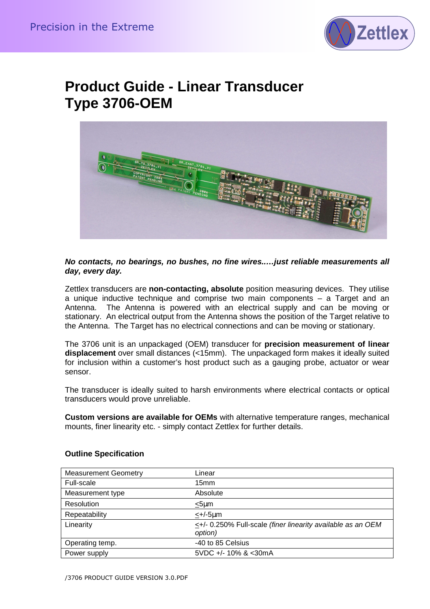

# **Product Guide - Linear Transducer Type 3706-OEM**



### **No contacts, no bearings, no bushes, no fine wires..…just reliable measurements all day, every day.**

Zettlex transducers are **non-contacting, absolute** position measuring devices. They utilise a unique inductive technique and comprise two main components  $-$  a Target and an Antenna. The Antenna is powered with an electrical supply and can be moving or stationary. An electrical output from the Antenna shows the position of the Target relative to the Antenna. The Target has no electrical connections and can be moving or stationary.

The 3706 unit is an unpackaged (OEM) transducer for **precision measurement of linear displacement** over small distances (<15mm). The unpackaged form makes it ideally suited for inclusion within a customer's host product such as a gauging probe, actuator or wear sensor.

The transducer is ideally suited to harsh environments where electrical contacts or optical transducers would prove unreliable.

**Custom versions are available for OEMs** with alternative temperature ranges, mechanical mounts, finer linearity etc. - simply contact Zettlex for further details.

| <b>Measurement Geometry</b> | Linear                                                                 |
|-----------------------------|------------------------------------------------------------------------|
| Full-scale                  | 15 <sub>mm</sub>                                                       |
| Measurement type            | Absolute                                                               |
| <b>Resolution</b>           | $<$ 5µm                                                                |
| Repeatability               | $\lt$ +/-5 $\mu$ m                                                     |
| Linearity                   | <+/- 0.250% Full-scale (finer linearity available as an OEM<br>option) |
| Operating temp.             | -40 to 85 Celsius                                                      |
| Power supply                | 5VDC +/- 10% & <30mA                                                   |

### **Outline Specification**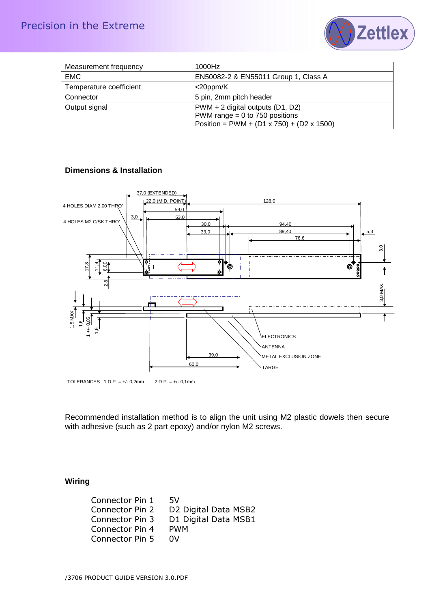

| Measurement frequency   | 1000Hz                                                |
|-------------------------|-------------------------------------------------------|
| <b>EMC</b>              | EN50082-2 & EN55011 Group 1, Class A                  |
| Temperature coefficient | $<$ 20ppm/K                                           |
| Connector               | 5 pin, 2mm pitch header                               |
| Output signal           | PWM + 2 digital outputs (D1, D2)                      |
|                         | PWM range $= 0$ to 750 positions                      |
|                         | Position = $PWM + (D1 \times 750) + (D2 \times 1500)$ |

## **Dimensions & Installation**



Recommended installation method is to align the unit using M2 plastic dowels then secure with adhesive (such as 2 part epoxy) and/or nylon M2 screws.

## **Wiring**

Connector Pin 1 5V Connector Pin 2 D2 Digital Data MSB2<br>Connector Pin 3 D1 Digital Data MSB1 D1 Digital Data MSB1<br>PWM Connector Pin 4 Connector Pin 5 0V